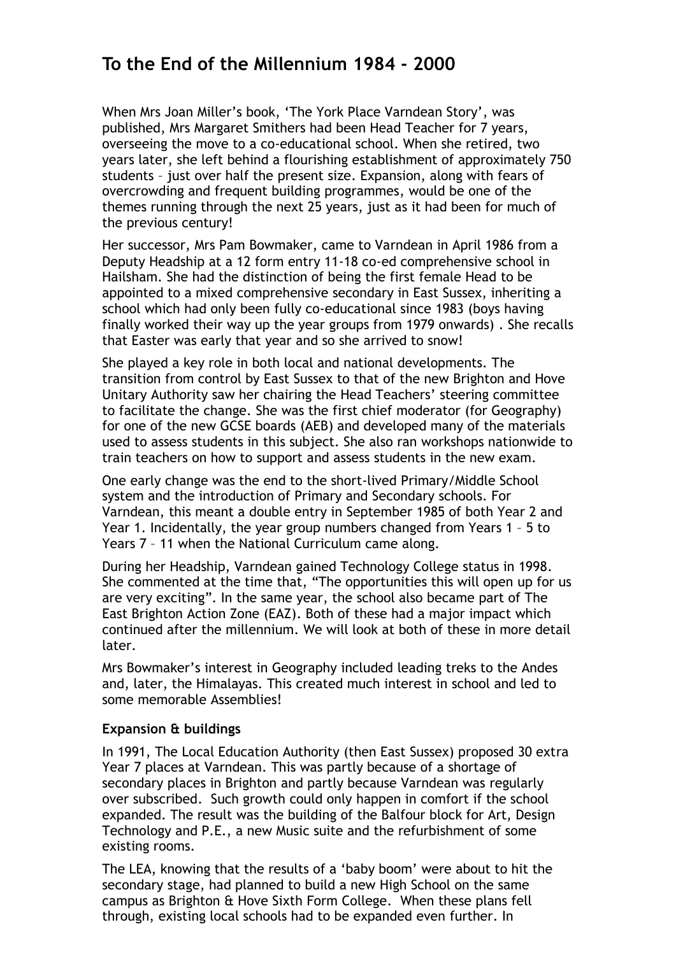# **To the End of the Millennium 1984 - 2000**

When Mrs Joan Miller's book, 'The York Place Varndean Story', was published, Mrs Margaret Smithers had been Head Teacher for 7 years, overseeing the move to a co-educational school. When she retired, two years later, she left behind a flourishing establishment of approximately 750 students – just over half the present size. Expansion, along with fears of overcrowding and frequent building programmes, would be one of the themes running through the next 25 years, just as it had been for much of the previous century!

Her successor, Mrs Pam Bowmaker, came to Varndean in April 1986 from a Deputy Headship at a 12 form entry 11-18 co-ed comprehensive school in Hailsham. She had the distinction of being the first female Head to be appointed to a mixed comprehensive secondary in East Sussex, inheriting a school which had only been fully co-educational since 1983 (boys having finally worked their way up the year groups from 1979 onwards) . She recalls that Easter was early that year and so she arrived to snow!

She played a key role in both local and national developments. The transition from control by East Sussex to that of the new Brighton and Hove Unitary Authority saw her chairing the Head Teachers' steering committee to facilitate the change. She was the first chief moderator (for Geography) for one of the new GCSE boards (AEB) and developed many of the materials used to assess students in this subject. She also ran workshops nationwide to train teachers on how to support and assess students in the new exam.

One early change was the end to the short-lived Primary/Middle School system and the introduction of Primary and Secondary schools. For Varndean, this meant a double entry in September 1985 of both Year 2 and Year 1. Incidentally, the year group numbers changed from Years 1 – 5 to Years 7 – 11 when the National Curriculum came along.

During her Headship, Varndean gained Technology College status in 1998. She commented at the time that, "The opportunities this will open up for us are very exciting". In the same year, the school also became part of The East Brighton Action Zone (EAZ). Both of these had a major impact which continued after the millennium. We will look at both of these in more detail later.

Mrs Bowmaker's interest in Geography included leading treks to the Andes and, later, the Himalayas. This created much interest in school and led to some memorable Assemblies!

#### **Expansion & buildings**

In 1991, The Local Education Authority (then East Sussex) proposed 30 extra Year 7 places at Varndean. This was partly because of a shortage of secondary places in Brighton and partly because Varndean was regularly over subscribed. Such growth could only happen in comfort if the school expanded. The result was the building of the Balfour block for Art, Design Technology and P.E., a new Music suite and the refurbishment of some existing rooms.

The LEA, knowing that the results of a 'baby boom' were about to hit the secondary stage, had planned to build a new High School on the same campus as Brighton & Hove Sixth Form College. When these plans fell through, existing local schools had to be expanded even further. In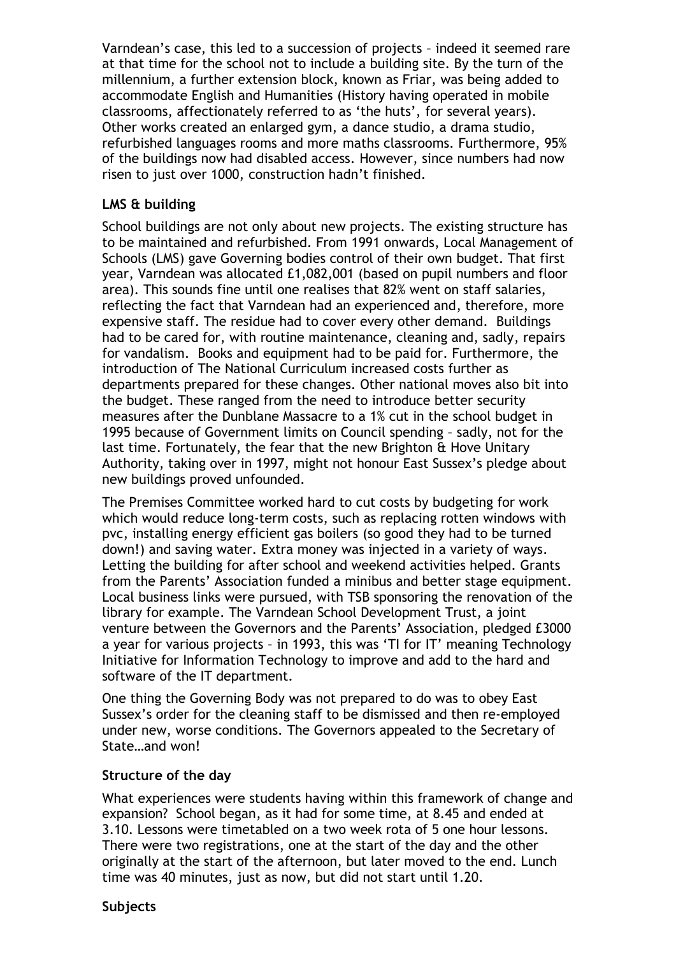Varndean's case, this led to a succession of projects – indeed it seemed rare at that time for the school not to include a building site. By the turn of the millennium, a further extension block, known as Friar, was being added to accommodate English and Humanities (History having operated in mobile classrooms, affectionately referred to as 'the huts', for several years). Other works created an enlarged gym, a dance studio, a drama studio, refurbished languages rooms and more maths classrooms. Furthermore, 95% of the buildings now had disabled access. However, since numbers had now risen to just over 1000, construction hadn't finished.

#### **LMS & building**

School buildings are not only about new projects. The existing structure has to be maintained and refurbished. From 1991 onwards, Local Management of Schools (LMS) gave Governing bodies control of their own budget. That first year, Varndean was allocated £1,082,001 (based on pupil numbers and floor area). This sounds fine until one realises that 82% went on staff salaries, reflecting the fact that Varndean had an experienced and, therefore, more expensive staff. The residue had to cover every other demand. Buildings had to be cared for, with routine maintenance, cleaning and, sadly, repairs for vandalism. Books and equipment had to be paid for. Furthermore, the introduction of The National Curriculum increased costs further as departments prepared for these changes. Other national moves also bit into the budget. These ranged from the need to introduce better security measures after the Dunblane Massacre to a 1% cut in the school budget in 1995 because of Government limits on Council spending – sadly, not for the last time. Fortunately, the fear that the new Brighton & Hove Unitary Authority, taking over in 1997, might not honour East Sussex's pledge about new buildings proved unfounded.

The Premises Committee worked hard to cut costs by budgeting for work which would reduce long-term costs, such as replacing rotten windows with pvc, installing energy efficient gas boilers (so good they had to be turned down!) and saving water. Extra money was injected in a variety of ways. Letting the building for after school and weekend activities helped. Grants from the Parents' Association funded a minibus and better stage equipment. Local business links were pursued, with TSB sponsoring the renovation of the library for example. The Varndean School Development Trust, a joint venture between the Governors and the Parents' Association, pledged £3000 a year for various projects – in 1993, this was 'TI for IT' meaning Technology Initiative for Information Technology to improve and add to the hard and software of the IT department.

One thing the Governing Body was not prepared to do was to obey East Sussex's order for the cleaning staff to be dismissed and then re-employed under new, worse conditions. The Governors appealed to the Secretary of State…and won!

#### **Structure of the day**

What experiences were students having within this framework of change and expansion? School began, as it had for some time, at 8.45 and ended at 3.10. Lessons were timetabled on a two week rota of 5 one hour lessons. There were two registrations, one at the start of the day and the other originally at the start of the afternoon, but later moved to the end. Lunch time was 40 minutes, just as now, but did not start until 1.20.

#### **Subjects**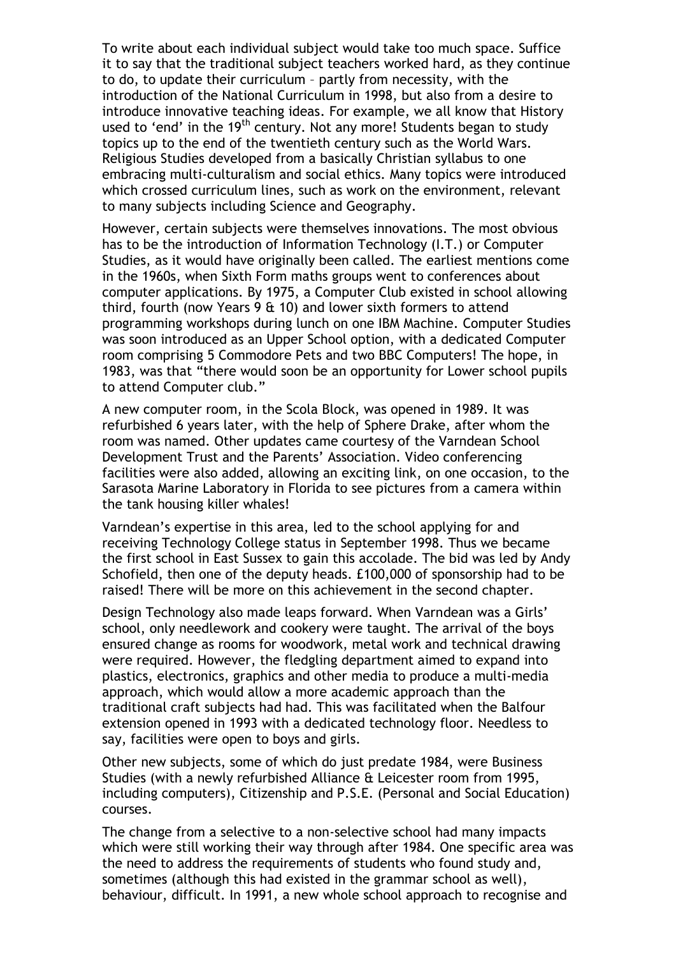To write about each individual subject would take too much space. Suffice it to say that the traditional subject teachers worked hard, as they continue to do, to update their curriculum – partly from necessity, with the introduction of the National Curriculum in 1998, but also from a desire to introduce innovative teaching ideas. For example, we all know that History used to 'end' in the 19<sup>th</sup> century. Not any more! Students began to study topics up to the end of the twentieth century such as the World Wars. Religious Studies developed from a basically Christian syllabus to one embracing multi-culturalism and social ethics. Many topics were introduced which crossed curriculum lines, such as work on the environment, relevant to many subjects including Science and Geography.

However, certain subjects were themselves innovations. The most obvious has to be the introduction of Information Technology (I.T.) or Computer Studies, as it would have originally been called. The earliest mentions come in the 1960s, when Sixth Form maths groups went to conferences about computer applications. By 1975, a Computer Club existed in school allowing third, fourth (now Years 9 & 10) and lower sixth formers to attend programming workshops during lunch on one IBM Machine. Computer Studies was soon introduced as an Upper School option, with a dedicated Computer room comprising 5 Commodore Pets and two BBC Computers! The hope, in 1983, was that "there would soon be an opportunity for Lower school pupils to attend Computer club."

A new computer room, in the Scola Block, was opened in 1989. It was refurbished 6 years later, with the help of Sphere Drake, after whom the room was named. Other updates came courtesy of the Varndean School Development Trust and the Parents' Association. Video conferencing facilities were also added, allowing an exciting link, on one occasion, to the Sarasota Marine Laboratory in Florida to see pictures from a camera within the tank housing killer whales!

Varndean's expertise in this area, led to the school applying for and receiving Technology College status in September 1998. Thus we became the first school in East Sussex to gain this accolade. The bid was led by Andy Schofield, then one of the deputy heads. £100,000 of sponsorship had to be raised! There will be more on this achievement in the second chapter.

Design Technology also made leaps forward. When Varndean was a Girls' school, only needlework and cookery were taught. The arrival of the boys ensured change as rooms for woodwork, metal work and technical drawing were required. However, the fledgling department aimed to expand into plastics, electronics, graphics and other media to produce a multi-media approach, which would allow a more academic approach than the traditional craft subjects had had. This was facilitated when the Balfour extension opened in 1993 with a dedicated technology floor. Needless to say, facilities were open to boys and girls.

Other new subjects, some of which do just predate 1984, were Business Studies (with a newly refurbished Alliance & Leicester room from 1995, including computers), Citizenship and P.S.E. (Personal and Social Education) courses.

The change from a selective to a non-selective school had many impacts which were still working their way through after 1984. One specific area was the need to address the requirements of students who found study and, sometimes (although this had existed in the grammar school as well), behaviour, difficult. In 1991, a new whole school approach to recognise and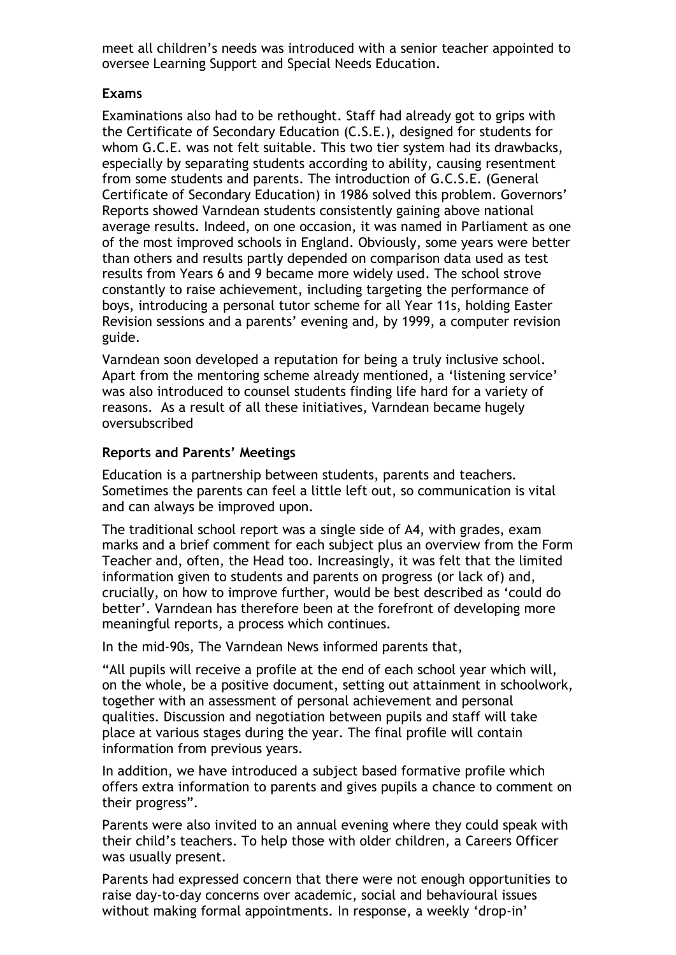meet all children's needs was introduced with a senior teacher appointed to oversee Learning Support and Special Needs Education.

# **Exams**

Examinations also had to be rethought. Staff had already got to grips with the Certificate of Secondary Education (C.S.E.), designed for students for whom G.C.E. was not felt suitable. This two tier system had its drawbacks, especially by separating students according to ability, causing resentment from some students and parents. The introduction of G.C.S.E. (General Certificate of Secondary Education) in 1986 solved this problem. Governors' Reports showed Varndean students consistently gaining above national average results. Indeed, on one occasion, it was named in Parliament as one of the most improved schools in England. Obviously, some years were better than others and results partly depended on comparison data used as test results from Years 6 and 9 became more widely used. The school strove constantly to raise achievement, including targeting the performance of boys, introducing a personal tutor scheme for all Year 11s, holding Easter Revision sessions and a parents' evening and, by 1999, a computer revision guide.

Varndean soon developed a reputation for being a truly inclusive school. Apart from the mentoring scheme already mentioned, a 'listening service' was also introduced to counsel students finding life hard for a variety of reasons. As a result of all these initiatives, Varndean became hugely oversubscribed

# **Reports and Parents' Meetings**

Education is a partnership between students, parents and teachers. Sometimes the parents can feel a little left out, so communication is vital and can always be improved upon.

The traditional school report was a single side of A4, with grades, exam marks and a brief comment for each subject plus an overview from the Form Teacher and, often, the Head too. Increasingly, it was felt that the limited information given to students and parents on progress (or lack of) and, crucially, on how to improve further, would be best described as 'could do better'. Varndean has therefore been at the forefront of developing more meaningful reports, a process which continues.

In the mid-90s, The Varndean News informed parents that,

"All pupils will receive a profile at the end of each school year which will, on the whole, be a positive document, setting out attainment in schoolwork, together with an assessment of personal achievement and personal qualities. Discussion and negotiation between pupils and staff will take place at various stages during the year. The final profile will contain information from previous years.

In addition, we have introduced a subject based formative profile which offers extra information to parents and gives pupils a chance to comment on their progress".

Parents were also invited to an annual evening where they could speak with their child's teachers. To help those with older children, a Careers Officer was usually present.

Parents had expressed concern that there were not enough opportunities to raise day-to-day concerns over academic, social and behavioural issues without making formal appointments. In response, a weekly 'drop-in'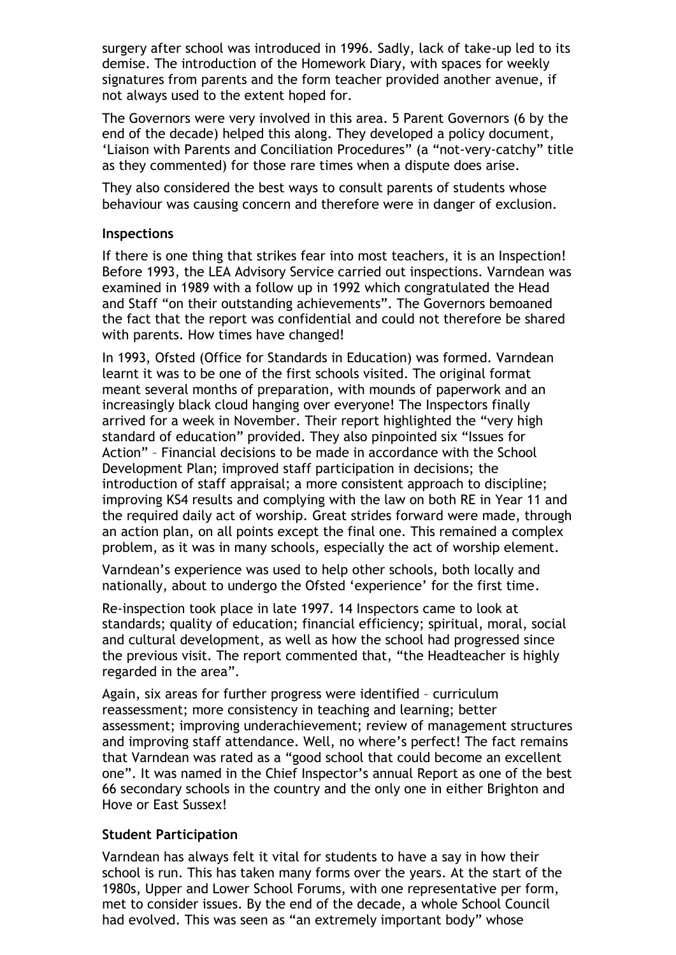surgery after school was introduced in 1996. Sadly, lack of take-up led to its demise. The introduction of the Homework Diary, with spaces for weekly signatures from parents and the form teacher provided another avenue, if not always used to the extent hoped for.

The Governors were very involved in this area. 5 Parent Governors (6 by the end of the decade) helped this along. They developed a policy document, 'Liaison with Parents and Conciliation Procedures" (a "not-very-catchy" title as they commented) for those rare times when a dispute does arise.

They also considered the best ways to consult parents of students whose behaviour was causing concern and therefore were in danger of exclusion.

#### **Inspections**

If there is one thing that strikes fear into most teachers, it is an Inspection! Before 1993, the LEA Advisory Service carried out inspections. Varndean was examined in 1989 with a follow up in 1992 which congratulated the Head and Staff "on their outstanding achievements". The Governors bemoaned the fact that the report was confidential and could not therefore be shared with parents. How times have changed!

In 1993, Ofsted (Office for Standards in Education) was formed. Varndean learnt it was to be one of the first schools visited. The original format meant several months of preparation, with mounds of paperwork and an increasingly black cloud hanging over everyone! The Inspectors finally arrived for a week in November. Their report highlighted the "very high standard of education" provided. They also pinpointed six "Issues for Action" – Financial decisions to be made in accordance with the School Development Plan; improved staff participation in decisions; the introduction of staff appraisal; a more consistent approach to discipline; improving KS4 results and complying with the law on both RE in Year 11 and the required daily act of worship. Great strides forward were made, through an action plan, on all points except the final one. This remained a complex problem, as it was in many schools, especially the act of worship element.

Varndean's experience was used to help other schools, both locally and nationally, about to undergo the Ofsted 'experience' for the first time.

Re-inspection took place in late 1997. 14 Inspectors came to look at standards; quality of education; financial efficiency; spiritual, moral, social and cultural development, as well as how the school had progressed since the previous visit. The report commented that, "the Headteacher is highly regarded in the area".

Again, six areas for further progress were identified – curriculum reassessment; more consistency in teaching and learning; better assessment; improving underachievement; review of management structures and improving staff attendance. Well, no where's perfect! The fact remains that Varndean was rated as a "good school that could become an excellent one". It was named in the Chief Inspector's annual Report as one of the best 66 secondary schools in the country and the only one in either Brighton and Hove or East Sussex!

# **Student Participation**

Varndean has always felt it vital for students to have a say in how their school is run. This has taken many forms over the years. At the start of the 1980s, Upper and Lower School Forums, with one representative per form, met to consider issues. By the end of the decade, a whole School Council had evolved. This was seen as "an extremely important body" whose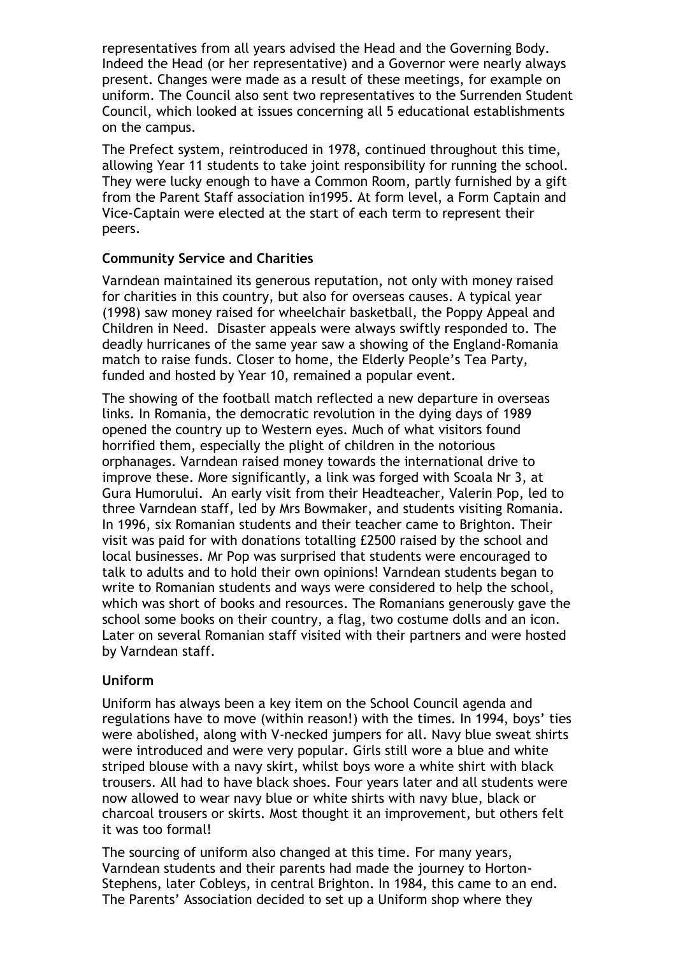representatives from all years advised the Head and the Governing Body. Indeed the Head (or her representative) and a Governor were nearly always present. Changes were made as a result of these meetings, for example on uniform. The Council also sent two representatives to the Surrenden Student Council, which looked at issues concerning all 5 educational establishments on the campus.

The Prefect system, reintroduced in 1978, continued throughout this time, allowing Year 11 students to take joint responsibility for running the school. They were lucky enough to have a Common Room, partly furnished by a gift from the Parent Staff association in1995. At form level, a Form Captain and Vice-Captain were elected at the start of each term to represent their peers.

# **Community Service and Charities**

Varndean maintained its generous reputation, not only with money raised for charities in this country, but also for overseas causes. A typical year (1998) saw money raised for wheelchair basketball, the Poppy Appeal and Children in Need. Disaster appeals were always swiftly responded to. The deadly hurricanes of the same year saw a showing of the England-Romania match to raise funds. Closer to home, the Elderly People's Tea Party, funded and hosted by Year 10, remained a popular event.

The showing of the football match reflected a new departure in overseas links. In Romania, the democratic revolution in the dying days of 1989 opened the country up to Western eyes. Much of what visitors found horrified them, especially the plight of children in the notorious orphanages. Varndean raised money towards the international drive to improve these. More significantly, a link was forged with Scoala Nr 3, at Gura Humorului. An early visit from their Headteacher, Valerin Pop, led to three Varndean staff, led by Mrs Bowmaker, and students visiting Romania. In 1996, six Romanian students and their teacher came to Brighton. Their visit was paid for with donations totalling £2500 raised by the school and local businesses. Mr Pop was surprised that students were encouraged to talk to adults and to hold their own opinions! Varndean students began to write to Romanian students and ways were considered to help the school, which was short of books and resources. The Romanians generously gave the school some books on their country, a flag, two costume dolls and an icon. Later on several Romanian staff visited with their partners and were hosted by Varndean staff.

#### **Uniform**

Uniform has always been a key item on the School Council agenda and regulations have to move (within reason!) with the times. In 1994, boys' ties were abolished, along with V-necked jumpers for all. Navy blue sweat shirts were introduced and were very popular. Girls still wore a blue and white striped blouse with a navy skirt, whilst boys wore a white shirt with black trousers. All had to have black shoes. Four years later and all students were now allowed to wear navy blue or white shirts with navy blue, black or charcoal trousers or skirts. Most thought it an improvement, but others felt it was too formal!

The sourcing of uniform also changed at this time. For many years, Varndean students and their parents had made the journey to Horton-Stephens, later Cobleys, in central Brighton. In 1984, this came to an end. The Parents' Association decided to set up a Uniform shop where they